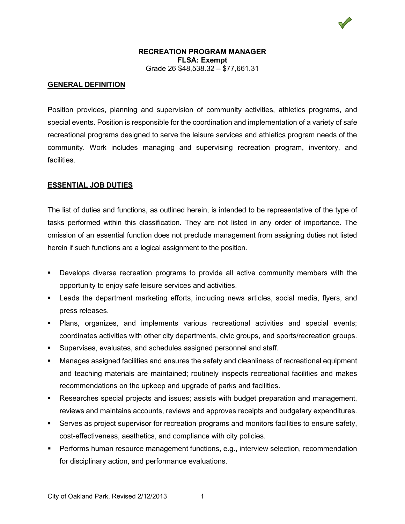## **GENERAL DEFINITION**

Position provides, planning and supervision of community activities, athletics programs, and special events. Position is responsible for the coordination and implementation of a variety of safe recreational programs designed to serve the leisure services and athletics program needs of the community. Work includes managing and supervising recreation program, inventory, and facilities.

## **ESSENTIAL JOB DUTIES**

The list of duties and functions, as outlined herein, is intended to be representative of the type of tasks performed within this classification. They are not listed in any order of importance. The omission of an essential function does not preclude management from assigning duties not listed herein if such functions are a logical assignment to the position.

- Develops diverse recreation programs to provide all active community members with the opportunity to enjoy safe leisure services and activities.
- Leads the department marketing efforts, including news articles, social media, flyers, and press releases.
- Plans, organizes, and implements various recreational activities and special events; coordinates activities with other city departments, civic groups, and sports/recreation groups.
- Supervises, evaluates, and schedules assigned personnel and staff.
- Manages assigned facilities and ensures the safety and cleanliness of recreational equipment and teaching materials are maintained; routinely inspects recreational facilities and makes recommendations on the upkeep and upgrade of parks and facilities.
- Researches special projects and issues; assists with budget preparation and management, reviews and maintains accounts, reviews and approves receipts and budgetary expenditures.
- Serves as project supervisor for recreation programs and monitors facilities to ensure safety, cost-effectiveness, aesthetics, and compliance with city policies.
- Performs human resource management functions, e.g., interview selection, recommendation for disciplinary action, and performance evaluations.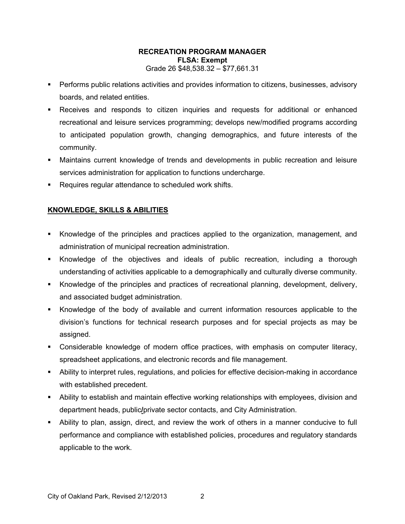- Performs public relations activities and provides information to citizens, businesses, advisory boards, and related entities.
- Receives and responds to citizen inquiries and requests for additional or enhanced recreational and leisure services programming; develops new/modified programs according to anticipated population growth, changing demographics, and future interests of the community.
- Maintains current knowledge of trends and developments in public recreation and leisure services administration for application to functions undercharge.
- **Requires regular attendance to scheduled work shifts.**

# **KNOWLEDGE, SKILLS & ABILITIES**

- Knowledge of the principles and practices applied to the organization, management, and administration of municipal recreation administration.
- Knowledge of the objectives and ideals of public recreation, including a thorough understanding of activities applicable to a demographically and culturally diverse community.
- Knowledge of the principles and practices of recreational planning, development, delivery, and associated budget administration.
- Knowledge of the body of available and current information resources applicable to the division's functions for technical research purposes and for special projects as may be assigned.
- Considerable knowledge of modern office practices, with emphasis on computer literacy, spreadsheet applications, and electronic records and file management.
- Ability to interpret rules, regulations, and policies for effective decision-making in accordance with established precedent.
- Ability to establish and maintain effective working relationships with employees, division and department heads, public**/**private sector contacts, and City Administration.
- Ability to plan, assign, direct, and review the work of others in a manner conducive to full performance and compliance with established policies, procedures and regulatory standards applicable to the work.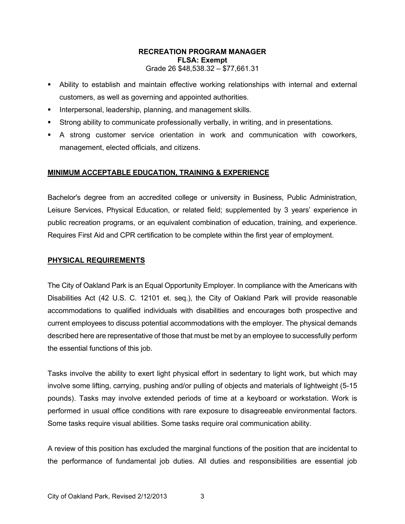- Ability to establish and maintain effective working relationships with internal and external customers, as well as governing and appointed authorities.
- **Interpersonal, leadership, planning, and management skills.**
- Strong ability to communicate professionally verbally, in writing, and in presentations.
- A strong customer service orientation in work and communication with coworkers, management, elected officials, and citizens.

## **MINIMUM ACCEPTABLE EDUCATION, TRAINING & EXPERIENCE**

Bachelor's degree from an accredited college or university in Business, Public Administration, Leisure Services, Physical Education, or related field; supplemented by 3 years' experience in public recreation programs, or an equivalent combination of education, training, and experience. Requires First Aid and CPR certification to be complete within the first year of employment.

## **PHYSICAL REQUIREMENTS**

The City of Oakland Park is an Equal Opportunity Employer. In compliance with the Americans with Disabilities Act (42 U.S. C. 12101 et. seq.), the City of Oakland Park will provide reasonable accommodations to qualified individuals with disabilities and encourages both prospective and current employees to discuss potential accommodations with the employer. The physical demands described here are representative of those that must be met by an employee to successfully perform the essential functions of this job.

Tasks involve the ability to exert light physical effort in sedentary to light work, but which may involve some lifting, carrying, pushing and/or pulling of objects and materials of lightweight (5-15 pounds). Tasks may involve extended periods of time at a keyboard or workstation. Work is performed in usual office conditions with rare exposure to disagreeable environmental factors. Some tasks require visual abilities. Some tasks require oral communication ability.

A review of this position has excluded the marginal functions of the position that are incidental to the performance of fundamental job duties. All duties and responsibilities are essential job